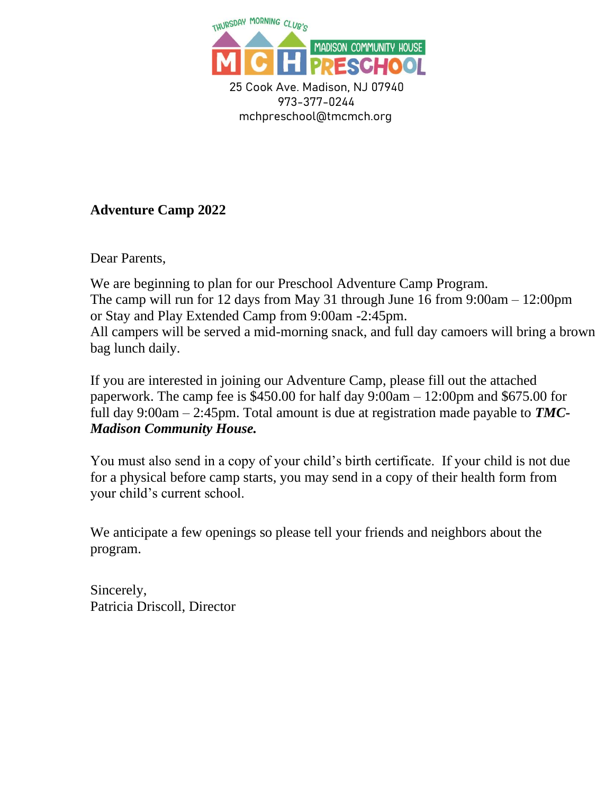

 973-377-0244 mchpreschool@tmcmch.org

## **Adventure Camp 2022**

Dear Parents,

We are beginning to plan for our Preschool Adventure Camp Program. The camp will run for 12 days from May 31 through June 16 from 9:00am – 12:00pm or Stay and Play Extended Camp from 9:00am -2:45pm. All campers will be served a mid-morning snack, and full day camoers will bring a brown bag lunch daily.

If you are interested in joining our Adventure Camp, please fill out the attached paperwork. The camp fee is  $$450.00$  for half day  $9:00$ am  $-12:00$ pm and  $$675.00$  for full day 9:00am – 2:45pm. Total amount is due at registration made payable to *TMC-Madison Community House.*

You must also send in a copy of your child's birth certificate. If your child is not due for a physical before camp starts, you may send in a copy of their health form from your child's current school.

We anticipate a few openings so please tell your friends and neighbors about the program.

Sincerely, Patricia Driscoll, Director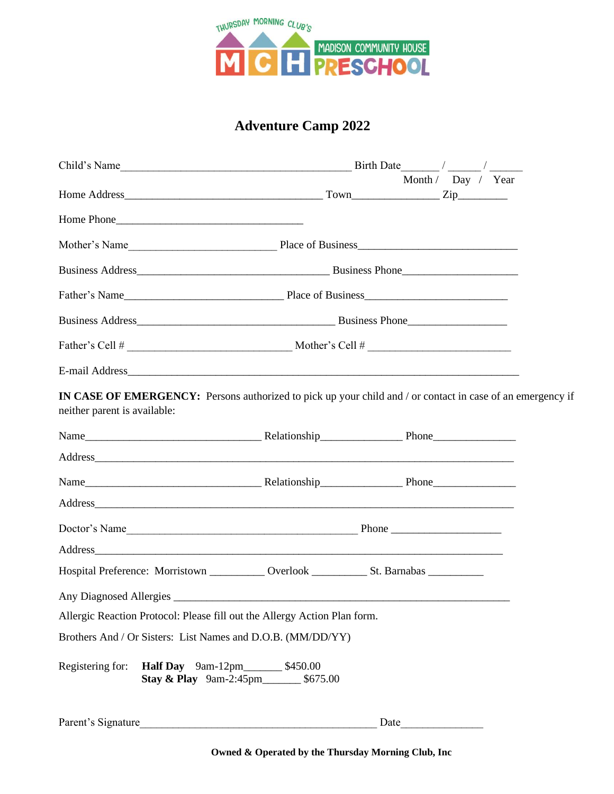

## **Adventure Camp 2022**

| Child's Name                                                                                                                               | Birth Date / / |  |      |                    |  |
|--------------------------------------------------------------------------------------------------------------------------------------------|----------------|--|------|--------------------|--|
|                                                                                                                                            |                |  |      | Month / Day / Year |  |
|                                                                                                                                            |                |  |      |                    |  |
|                                                                                                                                            |                |  |      |                    |  |
|                                                                                                                                            |                |  |      |                    |  |
|                                                                                                                                            |                |  |      |                    |  |
|                                                                                                                                            |                |  |      |                    |  |
|                                                                                                                                            |                |  |      |                    |  |
|                                                                                                                                            |                |  |      |                    |  |
|                                                                                                                                            |                |  |      |                    |  |
| IN CASE OF EMERGENCY: Persons authorized to pick up your child and / or contact in case of an emergency if<br>neither parent is available: |                |  |      |                    |  |
|                                                                                                                                            |                |  |      |                    |  |
|                                                                                                                                            |                |  |      |                    |  |
|                                                                                                                                            |                |  |      |                    |  |
|                                                                                                                                            |                |  |      |                    |  |
|                                                                                                                                            |                |  |      |                    |  |
|                                                                                                                                            |                |  |      |                    |  |
|                                                                                                                                            |                |  |      |                    |  |
|                                                                                                                                            |                |  |      |                    |  |
| Allergic Reaction Protocol: Please fill out the Allergy Action Plan form.                                                                  |                |  |      |                    |  |
| Brothers And / Or Sisters: List Names and D.O.B. (MM/DD/YY)                                                                                |                |  |      |                    |  |
| Registering for:<br>Half Day 9am-12pm____________ \$450.00<br>Stay & Play 9am-2:45pm__________ \$675.00                                    |                |  |      |                    |  |
| Parent's Signature                                                                                                                         |                |  | Date |                    |  |

**Owned & Operated by the Thursday Morning Club, Inc**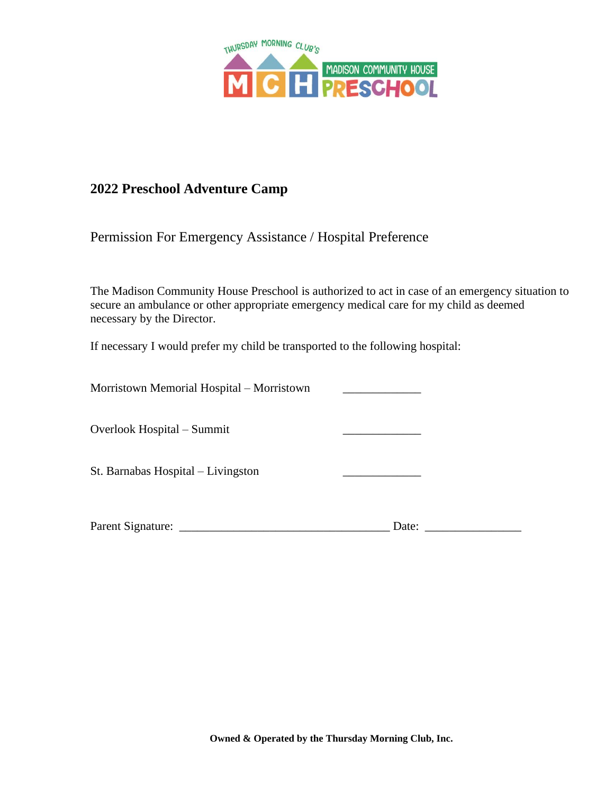

## **2022 Preschool Adventure Camp**

Permission For Emergency Assistance / Hospital Preference

The Madison Community House Preschool is authorized to act in case of an emergency situation to secure an ambulance or other appropriate emergency medical care for my child as deemed necessary by the Director.

If necessary I would prefer my child be transported to the following hospital:

| Morristown Memorial Hospital - Morristown |       |  |
|-------------------------------------------|-------|--|
| Overlook Hospital – Summit                |       |  |
| St. Barnabas Hospital – Livingston        |       |  |
| Parent Signature:                         | Date: |  |